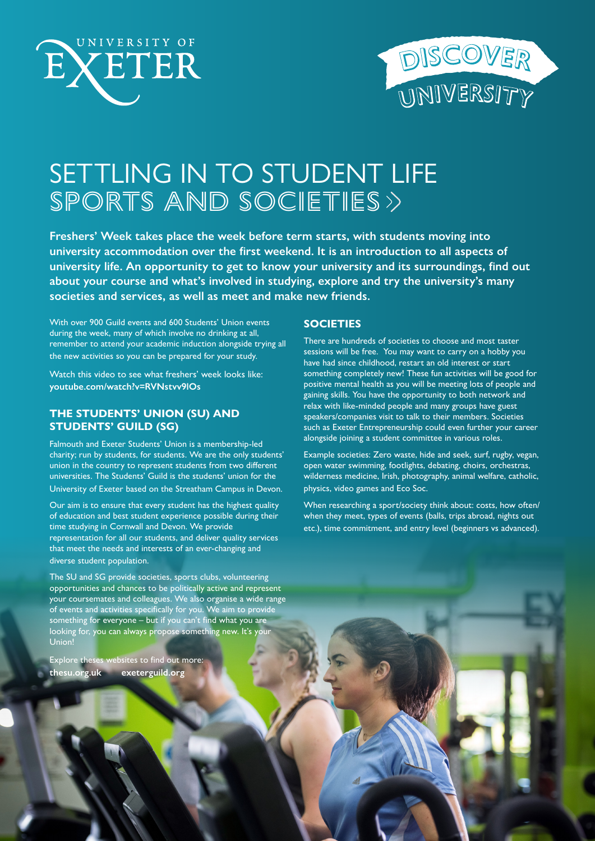



# SETTLING IN TO STUDENT LIFE SPORTS AND SOCIETIES>>

**Freshers' Week takes place the week before term starts, with students moving into university accommodation over the first weekend. It is an introduction to all aspects of university life. An opportunity to get to know your university and its surroundings, find out about your course and what's involved in studying, explore and try the university's many societies and services, as well as meet and make new friends.** 

With over 900 Guild events and 600 Students' Union events during the week, many of which involve no drinking at all, remember to attend your academic induction alongside trying all the new activities so you can be prepared for your study.

Watch this video to see what freshers' week looks like: **[youtube.com/watch?v=RVNstvv9lOs](http://www.youtube.com/watch?v=RVNstvv9lOs)**

# **THE STUDENTS' UNION (SU) AND STUDENTS' GUILD (SG)**

Falmouth and Exeter Students' Union is a membership-led charity; run by students, for students. We are the only students' union in the country to represent students from two different universities. The Students' Guild is the students' union for the University of Exeter based on the Streatham Campus in Devon.

Our aim is to ensure that every student has the highest quality of education and best student experience possible during their time studying in Cornwall and Devon. We provide representation for all our students, and deliver quality services that meet the needs and interests of an ever-changing and diverse student population.

### **SOCIETIES**

There are hundreds of societies to choose and most taster sessions will be free. You may want to carry on a hobby you have had since childhood, restart an old interest or start something completely new! These fun activities will be good for positive mental health as you will be meeting lots of people and gaining skills. You have the opportunity to both network and relax with like-minded people and many groups have guest speakers/companies visit to talk to their members. Societies such as Exeter Entrepreneurship could even further your career alongside joining a student committee in various roles.

Example societies: Zero waste, hide and seek, surf, rugby, vegan, open water swimming, footlights, debating, choirs, orchestras, wilderness medicine, Irish, photography, animal welfare, catholic, physics, video games and Eco Soc.

When researching a sport/society think about: costs, how often/ when they meet, types of events (balls, trips abroad, nights out etc.), time commitment, and entry level (beginners vs advanced).

The SU and SG provide societies, sports clubs, volunteering opportunities and chances to be politically active and represent your coursemates and colleagues. We also organise a wide range of events and activities specifically for you. We aim to provide something for everyone – but if you can't find what you are looking for, you can always propose something new. It's you Union!

Explore theses websites to find out more: **[thesu.org.uk](http://www.thesu.org.uk) [exeterguild.org](http://www.exeterguild.org)**